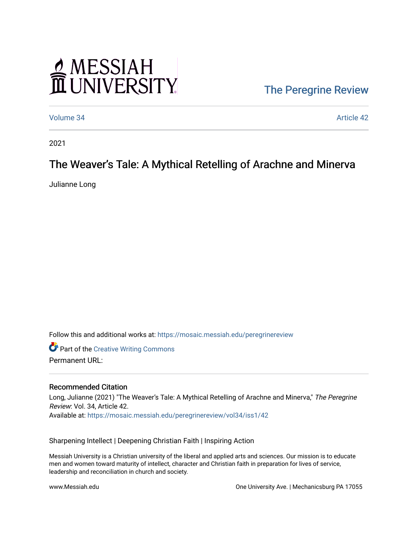# MESSIAH<br>II UNIVERSITY

### [The Peregrine Review](https://mosaic.messiah.edu/peregrinereview)

[Volume 34](https://mosaic.messiah.edu/peregrinereview/vol34) Article 42

2021

## The Weaver's Tale: A Mythical Retelling of Arachne and Minerva

Julianne Long

Follow this and additional works at: [https://mosaic.messiah.edu/peregrinereview](https://mosaic.messiah.edu/peregrinereview?utm_source=mosaic.messiah.edu%2Fperegrinereview%2Fvol34%2Fiss1%2F42&utm_medium=PDF&utm_campaign=PDFCoverPages) 

**Part of the Creative Writing Commons** Permanent URL:

#### Recommended Citation

Long, Julianne (2021) "The Weaver's Tale: A Mythical Retelling of Arachne and Minerva," The Peregrine Review: Vol. 34, Article 42. Available at: [https://mosaic.messiah.edu/peregrinereview/vol34/iss1/42](https://mosaic.messiah.edu/peregrinereview/vol34/iss1/42?utm_source=mosaic.messiah.edu%2Fperegrinereview%2Fvol34%2Fiss1%2F42&utm_medium=PDF&utm_campaign=PDFCoverPages)

Sharpening Intellect | Deepening Christian Faith | Inspiring Action

Messiah University is a Christian university of the liberal and applied arts and sciences. Our mission is to educate men and women toward maturity of intellect, character and Christian faith in preparation for lives of service, leadership and reconciliation in church and society.

www.Messiah.edu One University Ave. | Mechanicsburg PA 17055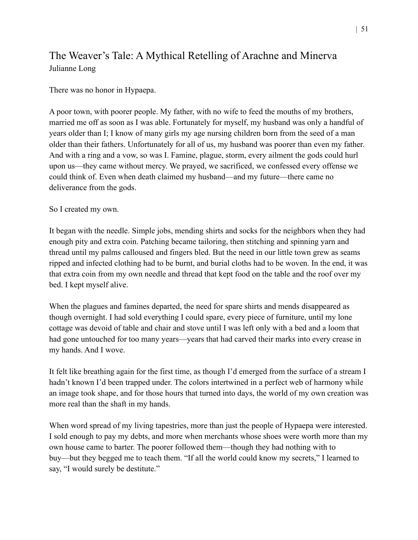#### The Weaver's Tale: A Mythical Retelling of Arachne and Minerva Julianne Long

There was no honor in Hypaepa.

A poor town, with poorer people. My father, with no wife to feed the mouths of my brothers, married me off as soon as I was able. Fortunately for myself, my husband was only a handful of years older than I; I know of many girls my age nursing children born from the seed of a man older than their fathers. Unfortunately for all of us, my husband was poorer than even my father. And with a ring and a vow, so was I. Famine, plague, storm, every ailment the gods could hurl upon us—they came without mercy. We prayed, we sacrificed, we confessed every offense we could think of. Even when death claimed my husband—and my future—there came no deliverance from the gods.

So I created my own.

It began with the needle. Simple jobs, mending shirts and socks for the neighbors when they had enough pity and extra coin. Patching became tailoring, then stitching and spinning yarn and thread until my palms calloused and fingers bled. But the need in our little town grew as seams ripped and infected clothing had to be burnt, and burial cloths had to be woven. In the end, it was that extra coin from my own needle and thread that kept food on the table and the roof over my bed. I kept myself alive.

When the plagues and famines departed, the need for spare shirts and mends disappeared as though overnight. I had sold everything I could spare, every piece of furniture, until my lone cottage was devoid of table and chair and stove until I was left only with a bed and a loom that had gone untouched for too many years—years that had carved their marks into every crease in my hands. And I wove.

It felt like breathing again for the first time, as though I'd emerged from the surface of a stream I hadn't known I'd been trapped under. The colors intertwined in a perfect web of harmony while an image took shape, and for those hours that turned into days, the world of my own creation was more real than the shaft in my hands.

When word spread of my living tapestries, more than just the people of Hypaepa were interested. I sold enough to pay my debts, and more when merchants whose shoes were worth more than my own house came to barter. The poorer followed them—though they had nothing with to buy—but they begged me to teach them. "If all the world could know my secrets," I learned to say, "I would surely be destitute."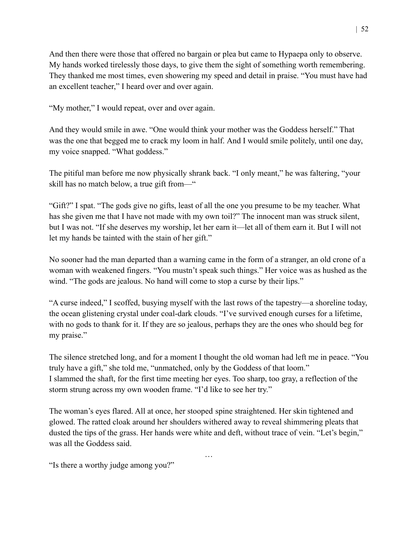And then there were those that offered no bargain or plea but came to Hypaepa only to observe. My hands worked tirelessly those days, to give them the sight of something worth remembering. They thanked me most times, even showering my speed and detail in praise. "You must have had an excellent teacher," I heard over and over again.

"My mother," I would repeat, over and over again.

And they would smile in awe. "One would think your mother was the Goddess herself." That was the one that begged me to crack my loom in half. And I would smile politely, until one day, my voice snapped. "What goddess."

The pitiful man before me now physically shrank back. "I only meant," he was faltering, "your skill has no match below, a true gift from—"

"Gift?" I spat. "The gods give no gifts, least of all the one you presume to be my teacher. What has she given me that I have not made with my own toil?" The innocent man was struck silent, but I was not. "If she deserves my worship, let her earn it—let all of them earn it. But I will not let my hands be tainted with the stain of her gift."

No sooner had the man departed than a warning came in the form of a stranger, an old crone of a woman with weakened fingers. "You mustn't speak such things." Her voice was as hushed as the wind. "The gods are jealous. No hand will come to stop a curse by their lips."

"A curse indeed," I scoffed, busying myself with the last rows of the tapestry—a shoreline today, the ocean glistening crystal under coal-dark clouds. "I've survived enough curses for a lifetime, with no gods to thank for it. If they are so jealous, perhaps they are the ones who should beg for my praise."

The silence stretched long, and for a moment I thought the old woman had left me in peace. "You truly have a gift," she told me, "unmatched, only by the Goddess of that loom." I slammed the shaft, for the first time meeting her eyes. Too sharp, too gray, a reflection of the storm strung across my own wooden frame. "I'd like to see her try."

The woman's eyes flared. All at once, her stooped spine straightened. Her skin tightened and glowed. The ratted cloak around her shoulders withered away to reveal shimmering pleats that dusted the tips of the grass. Her hands were white and deft, without trace of vein. "Let's begin," was all the Goddess said.

…

"Is there a worthy judge among you?"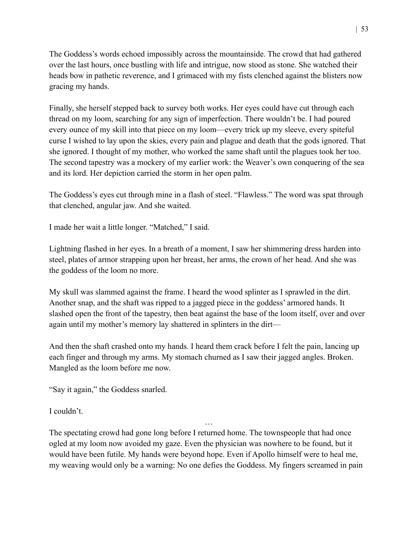The Goddess's words echoed impossibly across the mountainside. The crowd that had gathered over the last hours, once bustling with life and intrigue, now stood as stone. She watched their heads bow in pathetic reverence, and I grimaced with my fists clenched against the blisters now gracing my hands.

Finally, she herself stepped back to survey both works. Her eyes could have cut through each thread on my loom, searching for any sign of imperfection. There wouldn't be. I had poured every ounce of my skill into that piece on my loom—every trick up my sleeve, every spiteful curse I wished to lay upon the skies, every pain and plague and death that the gods ignored. That she ignored. I thought of my mother, who worked the same shaft until the plagues took her too. The second tapestry was a mockery of my earlier work: the Weaver's own conquering of the sea and its lord. Her depiction carried the storm in her open palm.

The Goddess's eyes cut through mine in a flash of steel. "Flawless." The word was spat through that clenched, angular jaw. And she waited.

I made her wait a little longer. "Matched," I said.

Lightning flashed in her eyes. In a breath of a moment, I saw her shimmering dress harden into steel, plates of armor strapping upon her breast, her arms, the crown of her head. And she was the goddess of the loom no more.

My skull was slammed against the frame. I heard the wood splinter as I sprawled in the dirt. Another snap, and the shaft was ripped to a jagged piece in the goddess' armored hands. It slashed open the front of the tapestry, then beat against the base of the loom itself, over and over again until my mother's memory lay shattered in splinters in the dirt—

And then the shaft crashed onto my hands. I heard them crack before I felt the pain, lancing up each finger and through my arms. My stomach churned as I saw their jagged angles. Broken. Mangled as the loom before me now.

"Say it again," the Goddess snarled.

I couldn't.

The spectating crowd had gone long before I returned home. The townspeople that had once ogled at my loom now avoided my gaze. Even the physician was nowhere to be found, but it would have been futile. My hands were beyond hope. Even if Apollo himself were to heal me, my weaving would only be a warning: No one defies the Goddess. My fingers screamed in pain

…